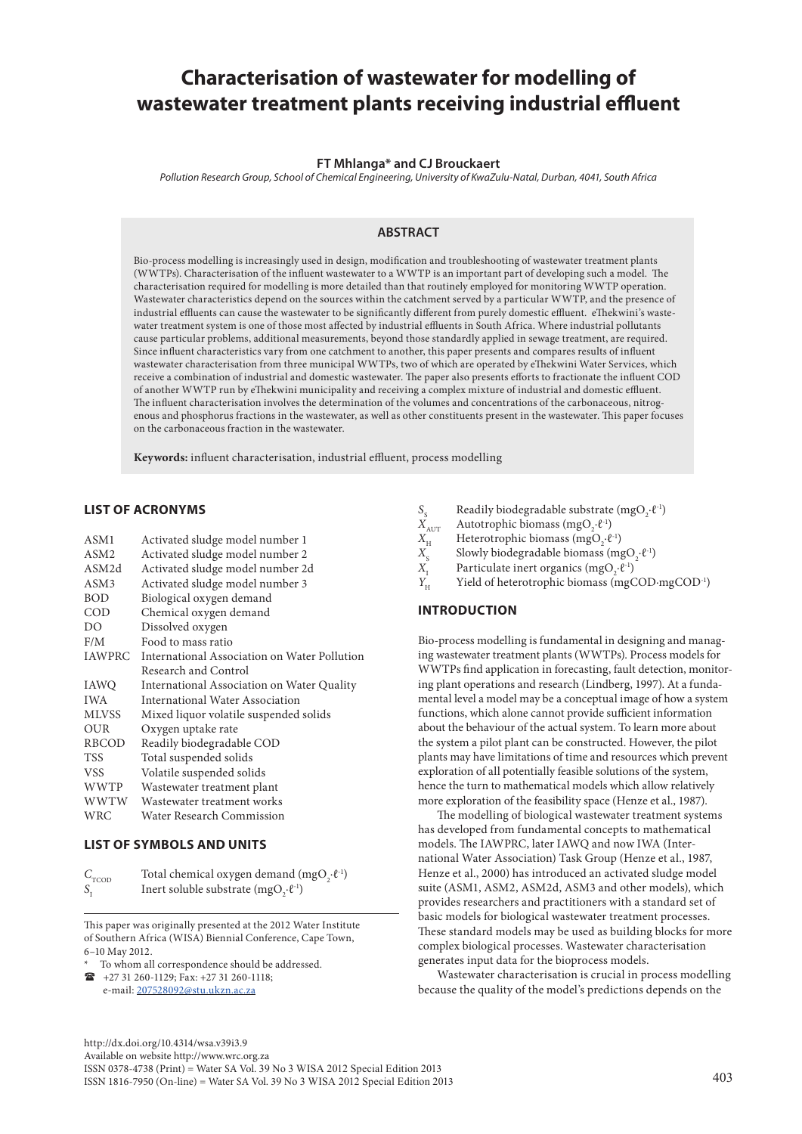# **Characterisation of wastewater for modelling of wastewater treatment plants receiving industrial effluent**

## **FT Mhlanga\* and CJ Brouckaert**

*Pollution Research Group, School of Chemical Engineering, University of KwaZulu-Natal, Durban, 4041, South Africa*

## **ABSTRACT**

Bio-process modelling is increasingly used in design, modification and troubleshooting of wastewater treatment plants (WWTPs). Characterisation of the influent wastewater to a WWTP is an important part of developing such a model. The characterisation required for modelling is more detailed than that routinely employed for monitoring WWTP operation. Wastewater characteristics depend on the sources within the catchment served by a particular WWTP, and the presence of industrial effluents can cause the wastewater to be significantly different from purely domestic effluent. eThekwini's wastewater treatment system is one of those most affected by industrial effluents in South Africa. Where industrial pollutants cause particular problems, additional measurements, beyond those standardly applied in sewage treatment, are required. Since influent characteristics vary from one catchment to another, this paper presents and compares results of influent wastewater characterisation from three municipal WWTPs, two of which are operated by eThekwini Water Services, which receive a combination of industrial and domestic wastewater. The paper also presents efforts to fractionate the influent COD of another WWTP run by eThekwini municipality and receiving a complex mixture of industrial and domestic effluent. The influent characterisation involves the determination of the volumes and concentrations of the carbonaceous, nitrogenous and phosphorus fractions in the wastewater, as well as other constituents present in the wastewater. This paper focuses on the carbonaceous fraction in the wastewater.

**Keywords:** influent characterisation, industrial effluent, process modelling

## **LIST OF ACRONYMS**

| ASM <sub>1</sub> | Activated sludge model number 1              |
|------------------|----------------------------------------------|
| ASM <sub>2</sub> | Activated sludge model number 2              |
| ASM2d            | Activated sludge model number 2d             |
| ASM <sub>3</sub> | Activated sludge model number 3              |
| <b>BOD</b>       | Biological oxygen demand                     |
| COD              | Chemical oxygen demand                       |
| DO               | Dissolved oxygen                             |
| F/M              | Food to mass ratio                           |
| <b>IAWPRC</b>    | International Association on Water Pollution |
|                  | Research and Control                         |
| IAWO             | International Association on Water Quality   |
| <b>IWA</b>       | <b>International Water Association</b>       |
| <b>MLVSS</b>     | Mixed liquor volatile suspended solids       |
| <b>OUR</b>       | Oxygen uptake rate                           |
| RBCOD            | Readily biodegradable COD                    |
| <b>TSS</b>       | Total suspended solids                       |
| <b>VSS</b>       | Volatile suspended solids                    |
| <b>WWTP</b>      | Wastewater treatment plant                   |
| <b>WWTW</b>      | Wastewater treatment works                   |
| <b>WRC</b>       | Water Research Commission                    |

## **LIST OF SYMBOLS AND UNITS**

| $C_{\text{TCOD}}$ | Total chemical oxygen demand $(mgO_y \cdot \ell^{-1})$ |
|-------------------|--------------------------------------------------------|
| S,                | Inert soluble substrate $(mgO, \ell^1)$                |

This paper was originally presented at the 2012 Water Institute of Southern Africa (WISA) Biennial Conference, Cape Town, 6–10 May 2012.

- To whom all correspondence should be addressed.
- $\bullet$  +27 31 260-1129; Fax: +27 31 260-1118; e-mail: [207528092@stu.ukzn.ac.za](mailto:207528092@stu.ukzn.ac.za)
- $S_{\rm s}$  Readily biodegradable substrate (mgO<sub>2</sub>· $\ell$ <sup>-1</sup>)
- $X_{\text{AUT}}$  Autotrophic biomass (mgO<sub>2</sub>· $\ell$ <sup>-1</sup>)
- $X_{\rm H}$  Heterotrophic biomass (mgO<sub>2</sub>· $\ell$ <sup>-1</sup>)
- $X_{\rm s}$  Slowly biodegradable biomass (mgO<sub>2</sub>· $\ell$ <sup>-1</sup>)
- $X_{I}$  Particulate inert organics (mgO<sub>2</sub>· $\ell$ <sup>-1</sup>)
- *X*<sub>H</sub> Heterotrophic biomass (mgC<sub>2</sub>· $\ell$ <sup>-1</sup>)<br>*X*<sub>S</sub> Slowly biodegradable biomass (mgC<sub>2</sub>· $\ell$ <sup>-1</sup>)<br>*X*<sub>I</sub> Particulate inert organics (mgC<sub>2</sub>· $\ell$ <sup>-1</sup>)<br>*Y*<sub>I</sub> Yield of heterotrophic biomass (mgCOD·mgCOD<sup>-1</sup>)

## **INTRODUCTION**

Bio-process modelling is fundamental in designing and managing wastewater treatment plants (WWTPs). Process models for WWTPs find application in forecasting, fault detection, monitoring plant operations and research (Lindberg, 1997). At a fundamental level a model may be a conceptual image of how a system functions, which alone cannot provide sufficient information about the behaviour of the actual system. To learn more about the system a pilot plant can be constructed. However, the pilot plants may have limitations of time and resources which prevent exploration of all potentially feasible solutions of the system, hence the turn to mathematical models which allow relatively more exploration of the feasibility space (Henze et al., 1987).

The modelling of biological wastewater treatment systems has developed from fundamental concepts to mathematical models. The IAWPRC, later IAWQ and now IWA (International Water Association) Task Group (Henze et al., 1987, Henze et al., 2000) has introduced an activated sludge model suite (ASM1, ASM2, ASM2d, ASM3 and other models), which provides researchers and practitioners with a standard set of basic models for biological wastewater treatment processes. These standard models may be used as building blocks for more complex biological processes. Wastewater characterisation generates input data for the bioprocess models.

Wastewater characterisation is crucial in process modelling because the quality of the model's predictions depends on the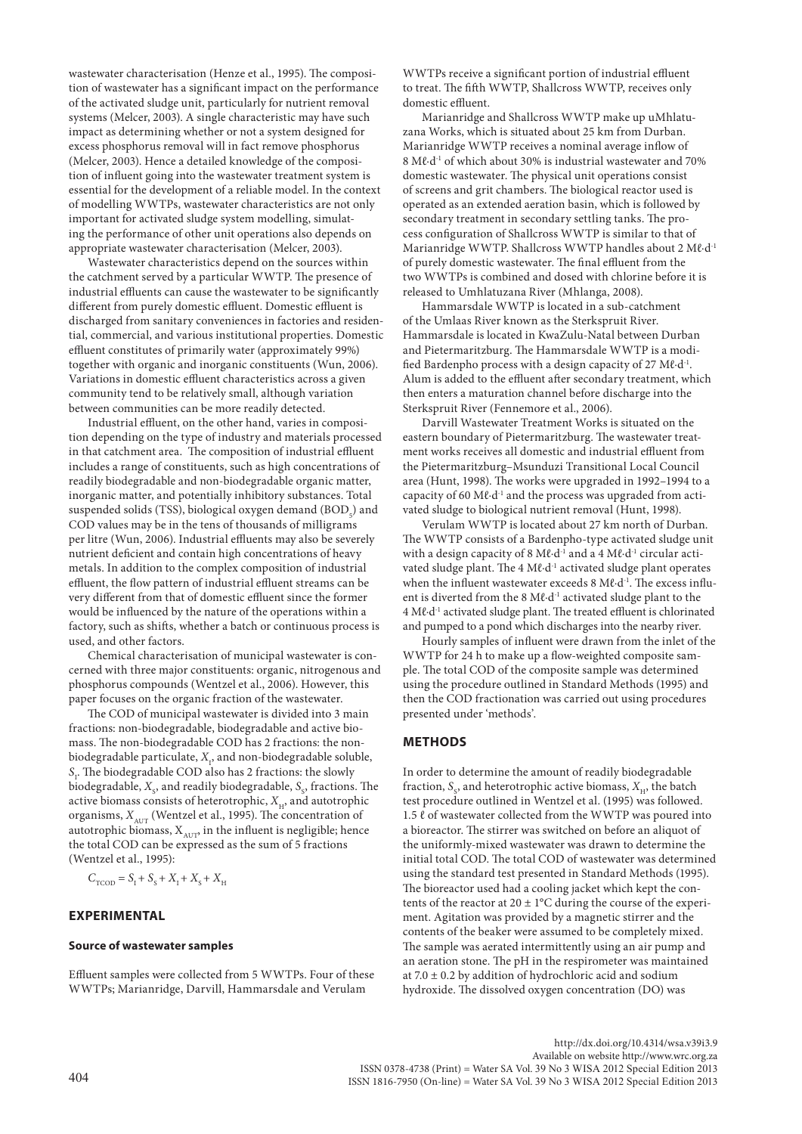wastewater characterisation (Henze et al., 1995). The composition of wastewater has a significant impact on the performance of the activated sludge unit, particularly for nutrient removal systems (Melcer, 2003). A single characteristic may have such impact as determining whether or not a system designed for excess phosphorus removal will in fact remove phosphorus (Melcer, 2003). Hence a detailed knowledge of the composition of influent going into the wastewater treatment system is essential for the development of a reliable model. In the context of modelling WWTPs, wastewater characteristics are not only important for activated sludge system modelling, simulating the performance of other unit operations also depends on appropriate wastewater characterisation (Melcer, 2003).

Wastewater characteristics depend on the sources within the catchment served by a particular WWTP. The presence of industrial effluents can cause the wastewater to be significantly different from purely domestic effluent. Domestic effluent is discharged from sanitary conveniences in factories and residential, commercial, and various institutional properties. Domestic effluent constitutes of primarily water (approximately 99%) together with organic and inorganic constituents (Wun, 2006). Variations in domestic effluent characteristics across a given community tend to be relatively small, although variation between communities can be more readily detected.

Industrial effluent, on the other hand, varies in composition depending on the type of industry and materials processed in that catchment area. The composition of industrial effluent includes a range of constituents, such as high concentrations of readily biodegradable and non-biodegradable organic matter, inorganic matter, and potentially inhibitory substances. Total suspended solids (TSS), biological oxygen demand  $(BOD<sub>5</sub>)$  and COD values may be in the tens of thousands of milligrams per litre (Wun, 2006). Industrial effluents may also be severely nutrient deficient and contain high concentrations of heavy metals. In addition to the complex composition of industrial effluent, the flow pattern of industrial effluent streams can be very different from that of domestic effluent since the former would be influenced by the nature of the operations within a factory, such as shifts, whether a batch or continuous process is used, and other factors.

Chemical characterisation of municipal wastewater is concerned with three major constituents: organic, nitrogenous and phosphorus compounds (Wentzel et al., 2006). However, this paper focuses on the organic fraction of the wastewater.

The COD of municipal wastewater is divided into 3 main fractions: non-biodegradable, biodegradable and active biomass. The non-biodegradable COD has 2 fractions: the nonbiodegradable particulate,  $X_{\rm p}$ , and non-biodegradable soluble,  $S_{\rm I}$  . The biodegradable COD also has 2 fractions: the slowly biodegradable,  $X_{\rm s}$ , and readily biodegradable,  ${\cal S}_{\rm s}$ , fractions. The active biomass consists of heterotrophic,  $X_H$ , and autotrophic organisms,  $X_{\text{AUT}}$  (Wentzel et al., 1995). The concentration of autotrophic biomass,  $X_{\text{AUT}}$ , in the influent is negligible; hence the total COD can be expressed as the sum of 5 fractions (Wentzel et al., 1995):

$$
C_{\text{TCOD}} = S_{\text{I}} + S_{\text{S}} + X_{\text{I}} + X_{\text{S}} + X_{\text{H}}
$$

## **EXPERIMENTAL**

#### **Source of wastewater samples**

Effluent samples were collected from 5 WWTPs. Four of these WWTPs; Marianridge, Darvill, Hammarsdale and Verulam

WWTPs receive a significant portion of industrial effluent to treat. The fifth WWTP, Shallcross WWTP, receives only domestic effluent.

Marianridge and Shallcross WWTP make up uMhlatuzana Works, which is situated about 25 km from Durban. Marianridge WWTP receives a nominal average inflow of 8 Mℓ∙d-1 of which about 30% is industrial wastewater and 70% domestic wastewater. The physical unit operations consist of screens and grit chambers. The biological reactor used is operated as an extended aeration basin, which is followed by secondary treatment in secondary settling tanks. The process configuration of Shallcross WWTP is similar to that of Marianridge WWTP. Shallcross WWTP handles about 2 Mℓ∙d-1 of purely domestic wastewater. The final effluent from the two WWTPs is combined and dosed with chlorine before it is released to Umhlatuzana River (Mhlanga, 2008).

Hammarsdale WWTP is located in a sub-catchment of the Umlaas River known as the Sterkspruit River. Hammarsdale is located in KwaZulu-Natal between Durban and Pietermaritzburg. The Hammarsdale WWTP is a modified Bardenpho process with a design capacity of 27 Mℓ∙d-1. Alum is added to the effluent after secondary treatment, which then enters a maturation channel before discharge into the Sterkspruit River (Fennemore et al., 2006).

Darvill Wastewater Treatment Works is situated on the eastern boundary of Pietermaritzburg. The wastewater treatment works receives all domestic and industrial effluent from the Pietermaritzburg–Msunduzi Transitional Local Council area (Hunt, 1998). The works were upgraded in 1992–1994 to a capacity of 60 Mℓ∙d-1 and the process was upgraded from activated sludge to biological nutrient removal (Hunt, 1998).

Verulam WWTP is located about 27 km north of Durban. The WWTP consists of a Bardenpho-type activated sludge unit with a design capacity of 8 Mℓ⋅d<sup>-1</sup> and a 4 Mℓ⋅d<sup>-1</sup> circular activated sludge plant. The 4 Mℓ∙d-1 activated sludge plant operates when the influent wastewater exceeds 8 Mℓ∙d-1. The excess influent is diverted from the 8 Mℓ∙d-1 activated sludge plant to the 4 Mℓ∙d-1 activated sludge plant. The treated effluent is chlorinated and pumped to a pond which discharges into the nearby river.

Hourly samples of influent were drawn from the inlet of the WWTP for 24 h to make up a flow-weighted composite sample. The total COD of the composite sample was determined using the procedure outlined in Standard Methods (1995) and then the COD fractionation was carried out using procedures presented under 'methods'.

## **METHODS**

In order to determine the amount of readily biodegradable fraction,  $S_{\rm s}$ , and heterotrophic active biomass,  $X_{\rm H}$ , the batch test procedure outlined in Wentzel et al. (1995) was followed. 1.5 ℓ of wastewater collected from the WWTP was poured into a bioreactor. The stirrer was switched on before an aliquot of the uniformly-mixed wastewater was drawn to determine the initial total COD. The total COD of wastewater was determined using the standard test presented in Standard Methods (1995). The bioreactor used had a cooling jacket which kept the contents of the reactor at  $20 \pm 1$ °C during the course of the experiment. Agitation was provided by a magnetic stirrer and the contents of the beaker were assumed to be completely mixed. The sample was aerated intermittently using an air pump and an aeration stone. The pH in the respirometer was maintained at  $7.0 \pm 0.2$  by addition of hydrochloric acid and sodium hydroxide. The dissolved oxygen concentration (DO) was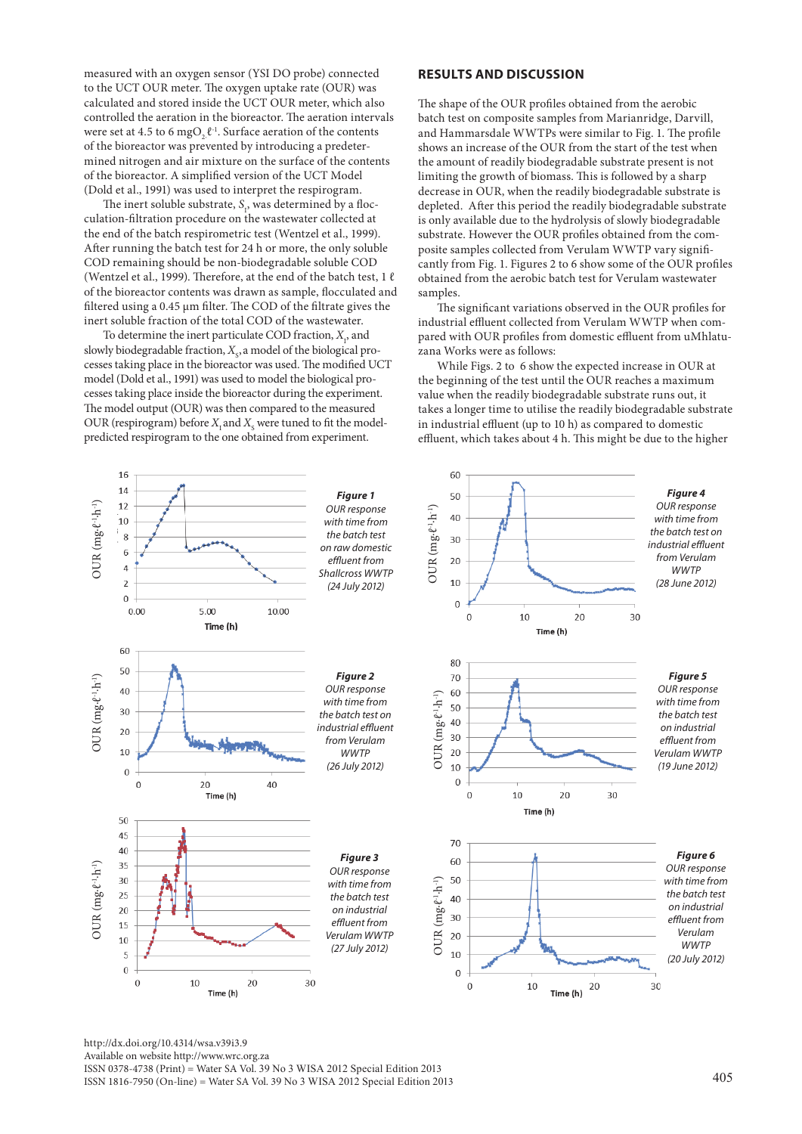measured with an oxygen sensor (YSI DO probe) connected to the UCT OUR meter. The oxygen uptake rate (OUR) was calculated and stored inside the UCT OUR meter, which also controlled the aeration in the bioreactor. The aeration intervals were set at 4.5 to 6 mgO<sub>2</sub> ℓ<sup>-1</sup>. Surface aeration of the contents of the bioreactor was prevented by introducing a predetermined nitrogen and air mixture on the surface of the contents of the bioreactor. A simplified version of the UCT Model (Dold et al., 1991) was used to interpret the respirogram.

The inert soluble substrate,  $S<sub>i</sub>$ , was determined by a flocculation-filtration procedure on the wastewater collected at the end of the batch respirometric test (Wentzel et al., 1999). After running the batch test for 24 h or more, the only soluble COD remaining should be non-biodegradable soluble COD (Wentzel et al., 1999). Therefore, at the end of the batch test, 1 ℓ of the bioreactor contents was drawn as sample, flocculated and filtered using a 0.45 μm filter. The COD of the filtrate gives the inert soluble fraction of the total COD of the wastewater.

To determine the inert particulate COD fraction,  $X_{\rm p}$  and slowly biodegradable fraction,  $X_{\rm s}$ , a model of the biological processes taking place in the bioreactor was used. The modified UCT model (Dold et al., 1991) was used to model the biological processes taking place inside the bioreactor during the experiment. The model output (OUR) was then compared to the measured OUR (respirogram) before  $X_1$  and  $X_5$  were tuned to fit the modelpredicted respirogram to the one obtained from experiment.

## **RESULTS AND DISCUSSION**

The shape of the OUR profiles obtained from the aerobic batch test on composite samples from Marianridge, Darvill, and Hammarsdale WWTPs were similar to Fig. 1. The profile shows an increase of the OUR from the start of the test when the amount of readily biodegradable substrate present is not limiting the growth of biomass. This is followed by a sharp decrease in OUR, when the readily biodegradable substrate is depleted. After this period the readily biodegradable substrate is only available due to the hydrolysis of slowly biodegradable substrate. However the OUR profiles obtained from the composite samples collected from Verulam WWTP vary significantly from Fig. 1. Figures 2 to 6 show some of the OUR profiles obtained from the aerobic batch test for Verulam wastewater samples.

The significant variations observed in the OUR profiles for industrial effluent collected from Verulam WWTP when compared with OUR profiles from domestic effluent from uMhlatuzana Works were as follows:

While Figs. 2 to 6 show the expected increase in OUR at the beginning of the test until the OUR reaches a maximum value when the readily biodegradable substrate runs out, it takes a longer time to utilise the readily biodegradable substrate in industrial effluent (up to 10 h) as compared to domestic effluent, which takes about 4 h. This might be due to the higher

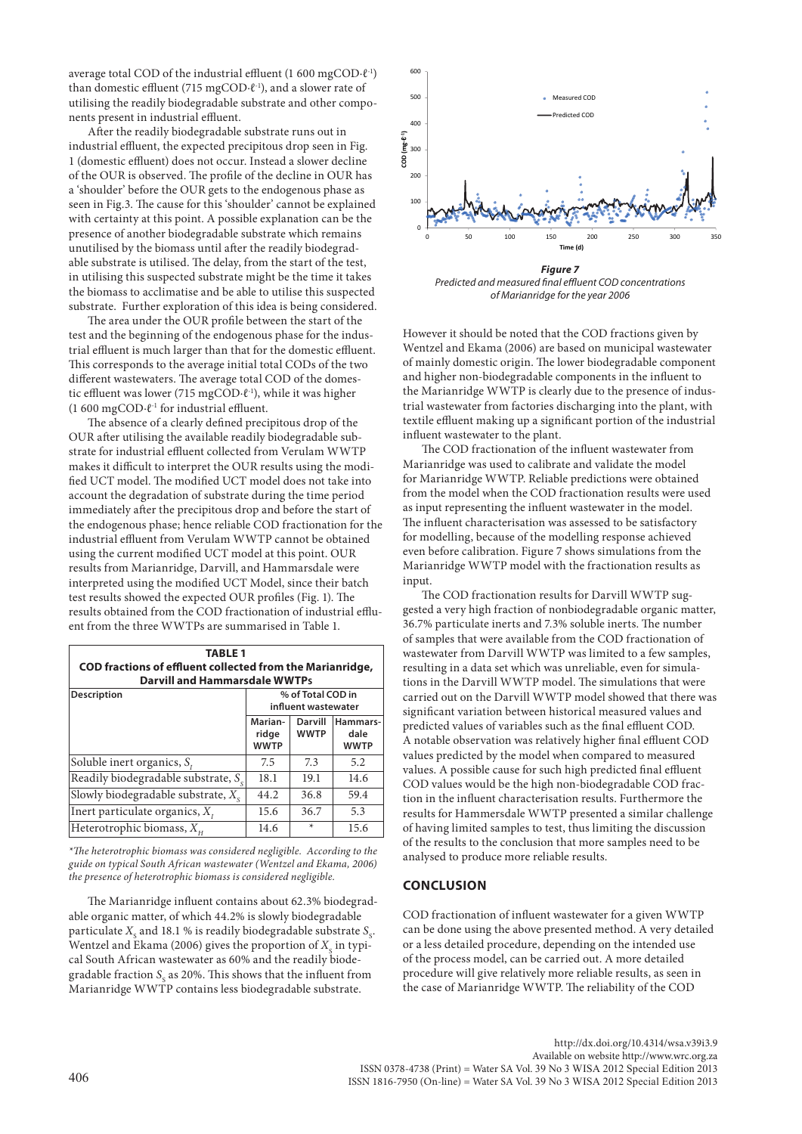average total COD of the industrial effluent (1 600 mgCOD∙ℓ-1) than domestic effluent (715 mgCOD∙ℓ-1), and a slower rate of utilising the readily biodegradable substrate and other components present in industrial effluent.

After the readily biodegradable substrate runs out in industrial effluent, the expected precipitous drop seen in Fig. 1 (domestic effluent) does not occur. Instead a slower decline of the OUR is observed. The profile of the decline in OUR has a 'shoulder' before the OUR gets to the endogenous phase as seen in Fig.3. The cause for this 'shoulder' cannot be explained with certainty at this point. A possible explanation can be the presence of another biodegradable substrate which remains unutilised by the biomass until after the readily biodegradable substrate is utilised. The delay, from the start of the test, in utilising this suspected substrate might be the time it takes the biomass to acclimatise and be able to utilise this suspected substrate. Further exploration of this idea is being considered.

The area under the OUR profile between the start of the test and the beginning of the endogenous phase for the industrial effluent is much larger than that for the domestic effluent. This corresponds to the average initial total CODs of the two different wastewaters. The average total COD of the domestic effluent was lower (715 mgCOD∙ℓ-1), while it was higher (1 600 mgCOD∙ℓ-1 for industrial effluent.

The absence of a clearly defined precipitous drop of the OUR after utilising the available readily biodegradable substrate for industrial effluent collected from Verulam WWTP makes it difficult to interpret the OUR results using the modified UCT model. The modified UCT model does not take into account the degradation of substrate during the time period immediately after the precipitous drop and before the start of the endogenous phase; hence reliable COD fractionation for the industrial effluent from Verulam WWTP cannot be obtained using the current modified UCT model at this point. OUR results from Marianridge, Darvill, and Hammarsdale were interpreted using the modified UCT Model, since their batch test results showed the expected OUR profiles (Fig. 1). The results obtained from the COD fractionation of industrial effluent from the three WWTPs are summarised in Table 1.

| <b>TABLE 1</b><br>COD fractions of effluent collected from the Marianridge,<br><b>Darvill and Hammarsdale WWTPs</b> |                                 |                                          |                                 |  |  |
|---------------------------------------------------------------------------------------------------------------------|---------------------------------|------------------------------------------|---------------------------------|--|--|
| <b>Description</b>                                                                                                  |                                 | % of Total COD in<br>influent wastewater |                                 |  |  |
|                                                                                                                     | Marian-<br>ridge<br><b>WWTP</b> | Darvill<br><b>WWTP</b>                   | Hammars-<br>dale<br><b>WWTP</b> |  |  |
| Soluble inert organics, $S_t$                                                                                       | 7.5                             | 7.3                                      | 5.2                             |  |  |
| Readily biodegradable substrate, S.                                                                                 | 18.1                            | 19.1                                     | 14.6                            |  |  |
| Slowly biodegradable substrate, $X_{\rm s}$                                                                         | 44.2                            | 36.8                                     | 59.4                            |  |  |
| Inert particulate organics, $X_t$                                                                                   | 15.6                            | 36.7                                     | 5.3                             |  |  |
| Heterotrophic biomass, $X_{\mu}$                                                                                    | 14.6                            | $\ast$                                   | 15.6                            |  |  |

*\*The heterotrophic biomass was considered negligible. According to the guide on typical South African wastewater (Wentzel and Ekama, 2006) the presence of heterotrophic biomass is considered negligible.*

The Marianridge influent contains about 62.3% biodegradable organic matter, of which 44.2% is slowly biodegradable particulate  $X_{\rm s}$  and 18.1 % is readily biodegradable substrate  $\mathcal{S}_{\rm s}$ . Wentzel and Ekama (2006) gives the proportion of  $X_{\rm s}$  in typical South African wastewater as 60% and the readily biodegradable fraction  $S<sub>e</sub>$  as 20%. This shows that the influent from Marianridge WWTP contains less biodegradable substrate.



*Predicted and measured final effluent COD concentrations of Marianridge for the year 2006*

However it should be noted that the COD fractions given by Wentzel and Ekama (2006) are based on municipal wastewater of mainly domestic origin. The lower biodegradable component and higher non-biodegradable components in the influent to the Marianridge WWTP is clearly due to the presence of industrial wastewater from factories discharging into the plant, with textile effluent making up a significant portion of the industrial influent wastewater to the plant.

The COD fractionation of the influent wastewater from Marianridge was used to calibrate and validate the model for Marianridge WWTP. Reliable predictions were obtained from the model when the COD fractionation results were used as input representing the influent wastewater in the model. The influent characterisation was assessed to be satisfactory for modelling, because of the modelling response achieved even before calibration. Figure 7 shows simulations from the Marianridge WWTP model with the fractionation results as input.

The COD fractionation results for Darvill WWTP suggested a very high fraction of nonbiodegradable organic matter, 36.7% particulate inerts and 7.3% soluble inerts. The number of samples that were available from the COD fractionation of wastewater from Darvill WWTP was limited to a few samples, resulting in a data set which was unreliable, even for simulations in the Darvill WWTP model. The simulations that were carried out on the Darvill WWTP model showed that there was significant variation between historical measured values and predicted values of variables such as the final effluent COD. A notable observation was relatively higher final effluent COD values predicted by the model when compared to measured values. A possible cause for such high predicted final effluent COD values would be the high non-biodegradable COD fraction in the influent characterisation results. Furthermore the results for Hammersdale WWTP presented a similar challenge of having limited samples to test, thus limiting the discussion of the results to the conclusion that more samples need to be analysed to produce more reliable results.

## **CONCLUSION**

COD fractionation of influent wastewater for a given WWTP can be done using the above presented method. A very detailed or a less detailed procedure, depending on the intended use of the process model, can be carried out. A more detailed procedure will give relatively more reliable results, as seen in the case of Marianridge WWTP. The reliability of the COD